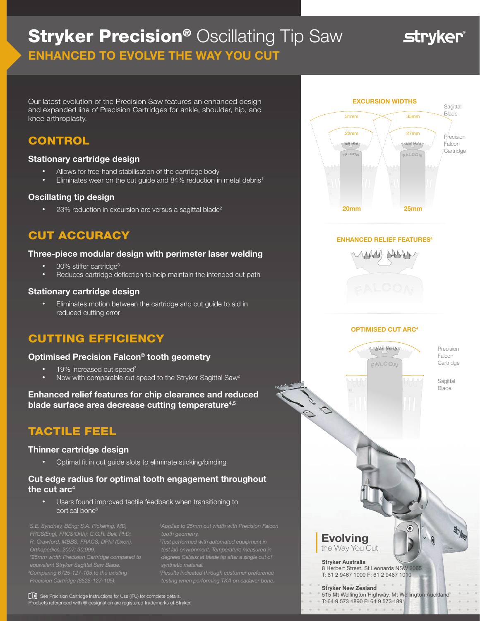# **Stryker Precision® Oscillating Tip Saw** ENHANCED TO EVOLVE THE WAY YOU CUT

**stryker** 

Our latest evolution of the Precision Saw features an enhanced design and expanded line of Precision Cartridges for ankle, shoulder, hip, and knee arthroplasty.

### **CONTROL**

#### Stationary cartridge design

- Allows for free-hand stabilisation of the cartridge body
- Eliminates wear on the cut guide and 84% reduction in metal debris<sup>1</sup>

#### Oscillating tip design

23% reduction in excursion arc versus a sagittal blade<sup>2</sup>

## CUT ACCURACY

#### Three-piece modular design with perimeter laser welding

- 30% stiffer cartridge3
- Reduces cartridge deflection to help maintain the intended cut path

#### Stationary cartridge design

• Eliminates motion between the cartridge and cut guide to aid in reduced cutting error

# CUTTING EFFICIENCY

#### Optimised Precision Falcon® tooth geometry

- 19% increased cut speed<sup>3</sup>
- Now with comparable cut speed to the Stryker Sagittal Saw<sup>2</sup>

#### Enhanced relief features for chip clearance and reduced blade surface area decrease cutting temperature<sup>4,5</sup>

### TACTILE FEEL

#### Thinner cartridge design

• Optimal fit in cut guide slots to eliminate sticking/binding

#### Cut edge radius for optimal tooth engagement throughout the cut  $arc<sup>4</sup>$

• Users found improved tactile feedback when transitioning to cortical bone<sup>6</sup>

*1 S.E. Syndney, BEng; S.A. Pickering, MD, FRCS(Eng), FRCS(Orth); C.G.R. Bell, PhD; R. Crawford, MBBS, FRACS, DPhil (Oxon). Orthopedics, 2007; 30;999. 3 Comparing 6725-127-105 to the existing* 

*4 Applies to 25mm cut width with Precision Falcon* 

*test lab environment. Temperature measured in degrees Celsius at blade tip after a single cut of* 

See Precision Cartridge Instructions for Use (IFU) for complete details. Products referenced with ® designation are registered trademarks of Stryker.







#### OPTIMISED CUT ARC4

MAN PARA FALCON

HH

 $\int_0^\infty$ 

10

yyy

 $\circledast$ 

Precision Falcon **Cartridge** 

> Sagittal Blade

#### Evolving the Way You Cut

Stryker Australia 8 Herbert Street, St Leonards NSW 2065 T: 61 2 9467 1000 F: 61 2 9467 1010

Stryker New Zealand 515 Mt Wellington Highway, Mt Wellington Auckland T: 64 9 573 1890 F: 64 9 573 1891